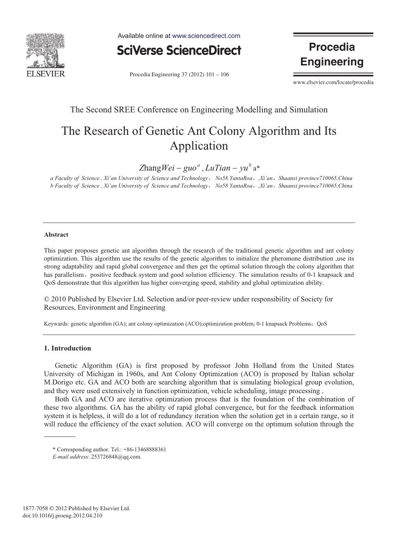

Available online at www.sciencedirect.com



Procedia Engineering  $37(2012) 101 - 106$ 

**Procedia Engineering** 

www.elsevier.com/locate/procedia

### The Second SREE Conference on Engineering Modelling and Simulation

# The Research of Genetic Ant Colony Algorithm and Its Application

 $Z$ hang*Wei* – guo<sup>*a*</sup>, *LuTian* –  $vu^b$  a<sup>\*</sup>

*a Faculty of Science , Xi'an University of Science and Technology*ˈ *No58 YantaRoa*ˈ*,Xi'an*ˈ*Shaanxi province710065,China b Faculty of Science , Xi'an University of Science and Technology*ˈ *No58 YantaRoa*ˈ*,Xi'an*ˈ*Shaanxi province710065,China* 

#### **Abstract**

This paper proposes genetic ant algorithm through the research of the traditional genetic algorithm and ant colony optimization. This algorithm use the results of the genetic algorithm to initialize the pheromone distribution ,use its strong adaptability and rapid global convergence and then get the optimal solution through the colony algorithm that has parallelism, positive feedback system and good solution efficiency. The simulation results of 0-1 knapsack and QoS demonstrate that this algorithm has higher converging speed, stability and global optimization ability.

© 2010 Published by Elsevier Ltd. Selection and/or peer-review under responsibility of Society for Resources, Environment and Engineering

Keywards: genetic algorithm (GA); ant colony optimization (ACO);optimization problem; 0-1 knapsack Problems; QoS

#### **1. Introduction**

Genetic Algorithm (GA) is first proposed by professor John Holland from the United States University of Michigan in 1960s, and Ant Colony Optimization (ACO) is proposed by Italian scholar M.Dorigo etc. GA and ACO both are searching algorithm that is simulating biological group evolution, and they were used extensively in function optimization, vehicle scheduling, image processing .

Both GA and ACO are iterative optimization process that is the foundation of the combination of these two algorithms. GA has the ability of rapid global convergence, but for the feedback information system it is helpless, it will do a lot of redundancy iteration when the solution get in a certain range, so it will reduce the efficiency of the exact solution. ACO will converge on the optimum solution through the

<sup>\*</sup> Corresponding author. Tel.: +86-13468888361

*E-mail address*: 253726848@qq.com.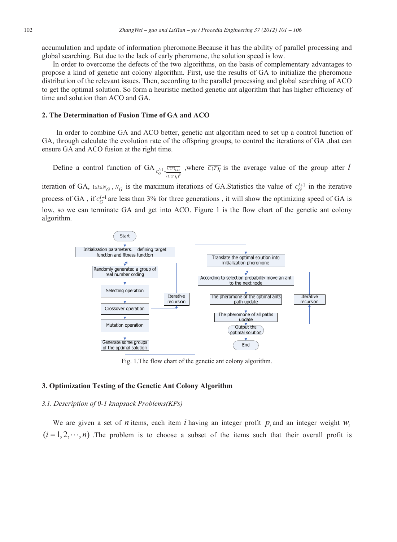accumulation and update of information pheromone.Because it has the ability of parallel processing and global searching. But due to the lack of early pheromone, the solution speed is low.

In order to overcome the defects of the two algorithms, on the basis of complementary advantages to propose a kind of genetic ant colony algorithm. First, use the results of GA to initialize the pheromone distribution of the relevant issues. Then, according to the parallel processing and global searching of ACO to get the optimal solution. So form a heuristic method genetic ant algorithm that has higher efficiency of time and solution than ACO and GA.

#### **2. The Determination of Fusion Time of GA and ACO**

In order to combine GA and ACO better, genetic ant algorithm need to set up a control function of GA, through calculate the evolution rate of the offspring groups, to control the iterations of GA ,that can ensure GA and ACO fusion at the right time.

Define a control function of GA  $_{c^{l+1} = \sqrt{\overline{C(T)_{l+1}}}}$  $c_G^{l+1} = \frac{\overline{c(T)}_{l+1}}{(c(T))_l^3}$ , where  $\overline{c(T)}_l$  is the average value of the group after *l* 

iteration of GA,  $1 \le l \le N_G$ ,  $N_G$  is the maximum iterations of GA.Statistics the value of  $C_G^{l+1}$  in the iterative process of GA, if  $c_G^{l+1}$  are less than 3% for three generations, it will show the optimizing speed of GA is low, so we can terminate GA and get into ACO. Figure 1 is the flow chart of the genetic ant colony algorithm.



Fig. 1.The flow chart of the genetic ant colony algorithm.

#### **3. Optimization Testing of the Genetic Ant Colony Algorithm**

#### *3.1. Description of 0-1 knapsack Problems(KPs)*

We are given a set of *n* items, each item *i* having an integer profit  $p_i$  and an integer weight  $w_i$  $(i = 1, 2, \dots, n)$ . The problem is to choose a subset of the items such that their overall profit is